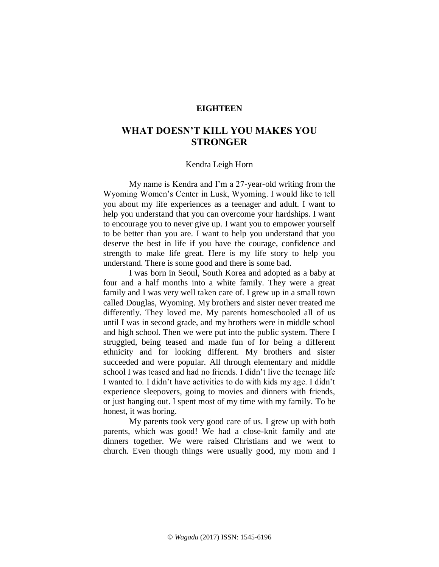## **EIGHTEEN**

# **WHAT DOESN'T KILL YOU MAKES YOU STRONGER**

### Kendra Leigh Horn

My name is Kendra and I'm a 27-year-old writing from the Wyoming Women's Center in Lusk, Wyoming. I would like to tell you about my life experiences as a teenager and adult. I want to help you understand that you can overcome your hardships. I want to encourage you to never give up. I want you to empower yourself to be better than you are. I want to help you understand that you deserve the best in life if you have the courage, confidence and strength to make life great. Here is my life story to help you understand. There is some good and there is some bad.

I was born in Seoul, South Korea and adopted as a baby at four and a half months into a white family. They were a great family and I was very well taken care of. I grew up in a small town called Douglas, Wyoming. My brothers and sister never treated me differently. They loved me. My parents homeschooled all of us until I was in second grade, and my brothers were in middle school and high school. Then we were put into the public system. There I struggled, being teased and made fun of for being a different ethnicity and for looking different. My brothers and sister succeeded and were popular. All through elementary and middle school I was teased and had no friends. I didn't live the teenage life I wanted to. I didn't have activities to do with kids my age. I didn't experience sleepovers, going to movies and dinners with friends, or just hanging out. I spent most of my time with my family. To be honest, it was boring.

My parents took very good care of us. I grew up with both parents, which was good! We had a close-knit family and ate dinners together. We were raised Christians and we went to church. Even though things were usually good, my mom and I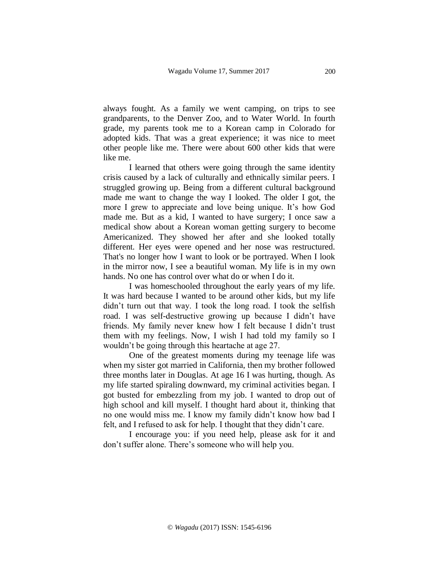always fought. As a family we went camping, on trips to see grandparents, to the Denver Zoo, and to Water World. In fourth grade, my parents took me to a Korean camp in Colorado for adopted kids. That was a great experience; it was nice to meet other people like me. There were about 600 other kids that were like me.

I learned that others were going through the same identity crisis caused by a lack of culturally and ethnically similar peers. I struggled growing up. Being from a different cultural background made me want to change the way I looked. The older I got, the more I grew to appreciate and love being unique. It's how God made me. But as a kid, I wanted to have surgery; I once saw a medical show about a Korean woman getting surgery to become Americanized. They showed her after and she looked totally different. Her eyes were opened and her nose was restructured. That's no longer how I want to look or be portrayed. When I look in the mirror now, I see a beautiful woman. My life is in my own hands. No one has control over what do or when I do it.

I was homeschooled throughout the early years of my life. It was hard because I wanted to be around other kids, but my life didn't turn out that way. I took the long road. I took the selfish road. I was self-destructive growing up because I didn't have friends. My family never knew how I felt because I didn't trust them with my feelings. Now, I wish I had told my family so I wouldn't be going through this heartache at age 27.

One of the greatest moments during my teenage life was when my sister got married in California, then my brother followed three months later in Douglas. At age 16 I was hurting, though. As my life started spiraling downward, my criminal activities began. I got busted for embezzling from my job. I wanted to drop out of high school and kill myself. I thought hard about it, thinking that no one would miss me. I know my family didn't know how bad I felt, and I refused to ask for help. I thought that they didn't care.

I encourage you: if you need help, please ask for it and don't suffer alone. There's someone who will help you.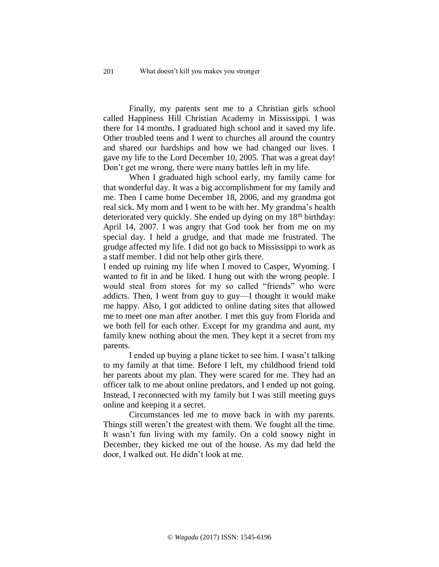Finally, my parents sent me to a Christian girls school called Happiness Hill Christian Academy in Mississippi. I was there for 14 months. I graduated high school and it saved my life. Other troubled teens and I went to churches all around the country and shared our hardships and how we had changed our lives. I gave my life to the Lord December 10, 2005. That was a great day! Don't get me wrong, there were many battles left in my life.

When I graduated high school early, my family came for that wonderful day. It was a big accomplishment for my family and me. Then I came home December 18, 2006, and my grandma got real sick. My mom and I went to be with her. My grandma's health deteriorated very quickly. She ended up dying on my  $18<sup>th</sup>$  birthday: April 14, 2007. I was angry that God took her from me on my special day. I held a grudge, and that made me frustrated. The grudge affected my life. I did not go back to Mississippi to work as a staff member. I did not help other girls there.

I ended up ruining my life when I moved to Casper, Wyoming. I wanted to fit in and be liked. I hung out with the wrong people. I would steal from stores for my so called "friends" who were addicts. Then, I went from guy to guy—I thought it would make me happy. Also, I got addicted to online dating sites that allowed me to meet one man after another. I met this guy from Florida and we both fell for each other. Except for my grandma and aunt, my family knew nothing about the men. They kept it a secret from my parents.

I ended up buying a plane ticket to see him. I wasn't talking to my family at that time. Before I left, my childhood friend told her parents about my plan. They were scared for me. They had an officer talk to me about online predators, and I ended up not going. Instead, I reconnected with my family but I was still meeting guys online and keeping it a secret.

Circumstances led me to move back in with my parents. Things still weren't the greatest with them. We fought all the time. It wasn't fun living with my family. On a cold snowy night in December, they kicked me out of the house. As my dad held the door, I walked out. He didn't look at me.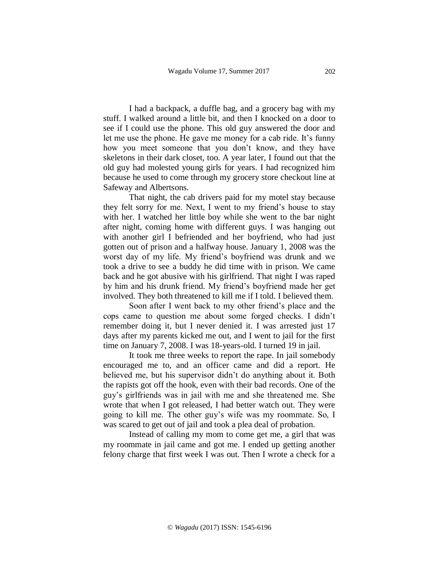I had a backpack, a duffle bag, and a grocery bag with my stuff. I walked around a little bit, and then I knocked on a door to see if I could use the phone. This old guy answered the door and let me use the phone. He gave me money for a cab ride. It's funny how you meet someone that you don't know, and they have skeletons in their dark closet, too. A year later, I found out that the old guy had molested young girls for years. I had recognized him because he used to come through my grocery store checkout line at Safeway and Albertsons.

That night, the cab drivers paid for my motel stay because they felt sorry for me. Next, I went to my friend's house to stay with her. I watched her little boy while she went to the bar night after night, coming home with different guys. I was hanging out with another girl I befriended and her boyfriend, who had just gotten out of prison and a halfway house. January 1, 2008 was the worst day of my life. My friend's boyfriend was drunk and we took a drive to see a buddy he did time with in prison. We came back and he got abusive with his girlfriend. That night I was raped by him and his drunk friend. My friend's boyfriend made her get involved. They both threatened to kill me if I told. I believed them.

Soon after I went back to my other friend's place and the cops came to question me about some forged checks. I didn't remember doing it, but I never denied it. I was arrested just 17 days after my parents kicked me out, and I went to jail for the first time on January 7, 2008. I was 18-years-old. I turned 19 in jail.

It took me three weeks to report the rape. In jail somebody encouraged me to, and an officer came and did a report. He believed me, but his supervisor didn't do anything about it. Both the rapists got off the hook, even with their bad records. One of the guy's girlfriends was in jail with me and she threatened me. She wrote that when I got released, I had better watch out. They were going to kill me. The other guy's wife was my roommate. So, I was scared to get out of jail and took a plea deal of probation.

Instead of calling my mom to come get me, a girl that was my roommate in jail came and got me. I ended up getting another felony charge that first week I was out. Then I wrote a check for a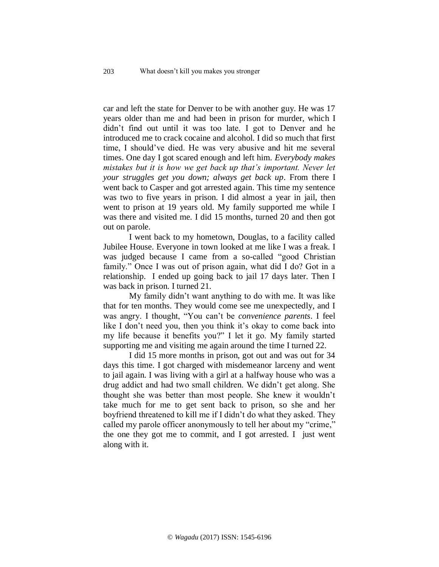car and left the state for Denver to be with another guy. He was 17 years older than me and had been in prison for murder, which I didn't find out until it was too late. I got to Denver and he introduced me to crack cocaine and alcohol. I did so much that first time, I should've died. He was very abusive and hit me several times. One day I got scared enough and left him. *Everybody makes mistakes but it is how we get back up that's important. Never let your struggles get you down; always get back up*. From there I went back to Casper and got arrested again. This time my sentence was two to five years in prison. I did almost a year in jail, then went to prison at 19 years old. My family supported me while I was there and visited me. I did 15 months, turned 20 and then got out on parole.

I went back to my hometown, Douglas, to a facility called Jubilee House. Everyone in town looked at me like I was a freak. I was judged because I came from a so-called "good Christian family." Once I was out of prison again, what did I do? Got in a relationship. I ended up going back to jail 17 days later. Then I was back in prison. I turned 21.

My family didn't want anything to do with me. It was like that for ten months. They would come see me unexpectedly, and I was angry. I thought, "You can't be *convenience parents*. I feel like I don't need you, then you think it's okay to come back into my life because it benefits you?" I let it go. My family started supporting me and visiting me again around the time I turned 22.

I did 15 more months in prison, got out and was out for 34 days this time. I got charged with misdemeanor larceny and went to jail again. I was living with a girl at a halfway house who was a drug addict and had two small children. We didn't get along. She thought she was better than most people. She knew it wouldn't take much for me to get sent back to prison, so she and her boyfriend threatened to kill me if I didn't do what they asked. They called my parole officer anonymously to tell her about my "crime," the one they got me to commit, and I got arrested. I just went along with it.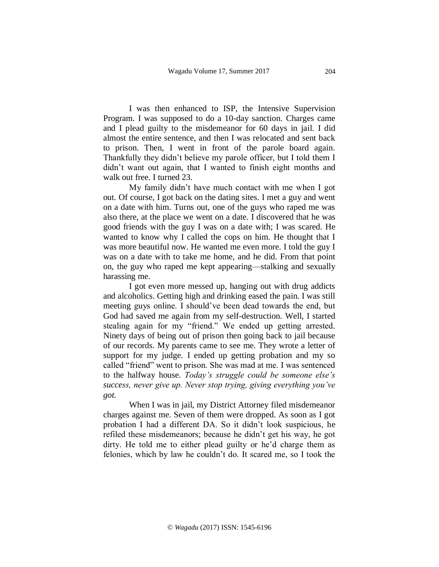I was then enhanced to ISP, the Intensive Supervision Program. I was supposed to do a 10-day sanction. Charges came and I plead guilty to the misdemeanor for 60 days in jail. I did almost the entire sentence, and then I was relocated and sent back to prison. Then, I went in front of the parole board again. Thankfully they didn't believe my parole officer, but I told them I didn't want out again, that I wanted to finish eight months and walk out free. I turned 23.

My family didn't have much contact with me when I got out. Of course, I got back on the dating sites. I met a guy and went on a date with him. Turns out, one of the guys who raped me was also there, at the place we went on a date. I discovered that he was good friends with the guy I was on a date with; I was scared. He wanted to know why I called the cops on him. He thought that I was more beautiful now. He wanted me even more. I told the guy I was on a date with to take me home, and he did. From that point on, the guy who raped me kept appearing—stalking and sexually harassing me.

I got even more messed up, hanging out with drug addicts and alcoholics. Getting high and drinking eased the pain. I was still meeting guys online. I should've been dead towards the end, but God had saved me again from my self-destruction. Well, I started stealing again for my "friend." We ended up getting arrested. Ninety days of being out of prison then going back to jail because of our records. My parents came to see me. They wrote a letter of support for my judge. I ended up getting probation and my so called "friend" went to prison. She was mad at me. I was sentenced to the halfway house. *Today's struggle could be someone else's success, never give up. Never stop trying, giving everything you've got.*

When I was in jail, my District Attorney filed misdemeanor charges against me. Seven of them were dropped. As soon as I got probation I had a different DA. So it didn't look suspicious, he refiled these misdemeanors; because he didn't get his way, he got dirty. He told me to either plead guilty or he'd charge them as felonies, which by law he couldn't do. It scared me, so I took the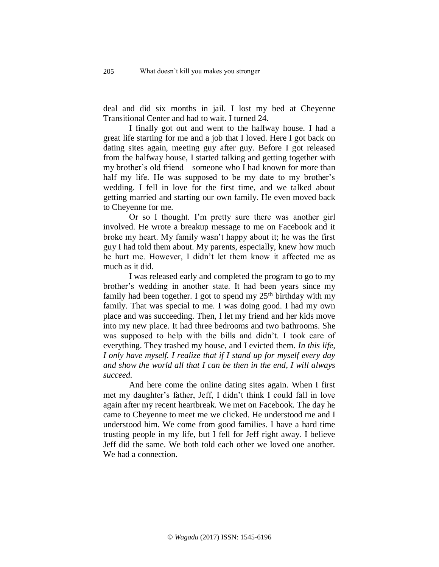deal and did six months in jail. I lost my bed at Cheyenne Transitional Center and had to wait. I turned 24.

I finally got out and went to the halfway house. I had a great life starting for me and a job that I loved. Here I got back on dating sites again, meeting guy after guy. Before I got released from the halfway house, I started talking and getting together with my brother's old friend—someone who I had known for more than half my life. He was supposed to be my date to my brother's wedding. I fell in love for the first time, and we talked about getting married and starting our own family. He even moved back to Cheyenne for me.

Or so I thought. I'm pretty sure there was another girl involved. He wrote a breakup message to me on Facebook and it broke my heart. My family wasn't happy about it; he was the first guy I had told them about. My parents, especially, knew how much he hurt me. However, I didn't let them know it affected me as much as it did.

I was released early and completed the program to go to my brother's wedding in another state. It had been years since my family had been together. I got to spend my  $25<sup>th</sup>$  birthday with my family. That was special to me. I was doing good. I had my own place and was succeeding. Then, I let my friend and her kids move into my new place. It had three bedrooms and two bathrooms. She was supposed to help with the bills and didn't. I took care of everything. They trashed my house, and I evicted them. *In this life, I only have myself. I realize that if I stand up for myself every day and show the world all that I can be then in the end, I will always succeed.*

And here come the online dating sites again. When I first met my daughter's father, Jeff, I didn't think I could fall in love again after my recent heartbreak. We met on Facebook. The day he came to Cheyenne to meet me we clicked. He understood me and I understood him. We come from good families. I have a hard time trusting people in my life, but I fell for Jeff right away. I believe Jeff did the same. We both told each other we loved one another. We had a connection.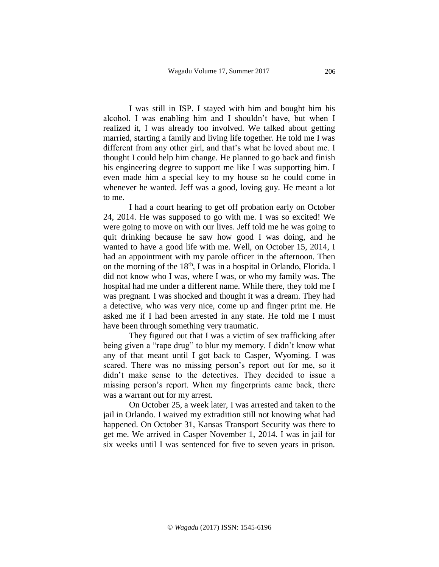I was still in ISP. I stayed with him and bought him his alcohol. I was enabling him and I shouldn't have, but when I realized it, I was already too involved. We talked about getting married, starting a family and living life together. He told me I was different from any other girl, and that's what he loved about me. I thought I could help him change. He planned to go back and finish his engineering degree to support me like I was supporting him. I even made him a special key to my house so he could come in whenever he wanted. Jeff was a good, loving guy. He meant a lot to me.

I had a court hearing to get off probation early on October 24, 2014. He was supposed to go with me. I was so excited! We were going to move on with our lives. Jeff told me he was going to quit drinking because he saw how good I was doing, and he wanted to have a good life with me. Well, on October 15, 2014, I had an appointment with my parole officer in the afternoon. Then on the morning of the 18th, I was in a hospital in Orlando, Florida. I did not know who I was, where I was, or who my family was. The hospital had me under a different name. While there, they told me I was pregnant. I was shocked and thought it was a dream. They had a detective, who was very nice, come up and finger print me. He asked me if I had been arrested in any state. He told me I must have been through something very traumatic.

They figured out that I was a victim of sex trafficking after being given a "rape drug" to blur my memory. I didn't know what any of that meant until I got back to Casper, Wyoming. I was scared. There was no missing person's report out for me, so it didn't make sense to the detectives. They decided to issue a missing person's report. When my fingerprints came back, there was a warrant out for my arrest.

On October 25, a week later, I was arrested and taken to the jail in Orlando. I waived my extradition still not knowing what had happened. On October 31, Kansas Transport Security was there to get me. We arrived in Casper November 1, 2014. I was in jail for six weeks until I was sentenced for five to seven years in prison.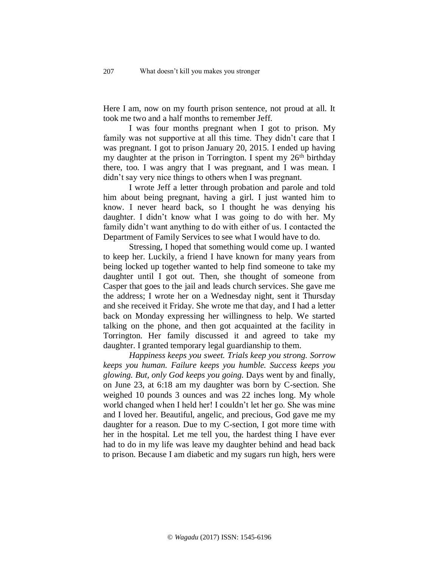Here I am, now on my fourth prison sentence, not proud at all. It took me two and a half months to remember Jeff.

I was four months pregnant when I got to prison. My family was not supportive at all this time. They didn't care that I was pregnant. I got to prison January 20, 2015. I ended up having my daughter at the prison in Torrington. I spent my 26<sup>th</sup> birthday there, too. I was angry that I was pregnant, and I was mean. I didn't say very nice things to others when I was pregnant.

I wrote Jeff a letter through probation and parole and told him about being pregnant, having a girl. I just wanted him to know. I never heard back, so I thought he was denying his daughter. I didn't know what I was going to do with her. My family didn't want anything to do with either of us. I contacted the Department of Family Services to see what I would have to do.

Stressing, I hoped that something would come up. I wanted to keep her. Luckily, a friend I have known for many years from being locked up together wanted to help find someone to take my daughter until I got out. Then, she thought of someone from Casper that goes to the jail and leads church services. She gave me the address; I wrote her on a Wednesday night, sent it Thursday and she received it Friday. She wrote me that day, and I had a letter back on Monday expressing her willingness to help. We started talking on the phone, and then got acquainted at the facility in Torrington. Her family discussed it and agreed to take my daughter. I granted temporary legal guardianship to them.

*Happiness keeps you sweet. Trials keep you strong. Sorrow keeps you human. Failure keeps you humble. Success keeps you glowing. But, only God keeps you going.* Days went by and finally, on June 23, at 6:18 am my daughter was born by C-section. She weighed 10 pounds 3 ounces and was 22 inches long. My whole world changed when I held her! I couldn't let her go. She was mine and I loved her. Beautiful, angelic, and precious, God gave me my daughter for a reason. Due to my C-section, I got more time with her in the hospital. Let me tell you, the hardest thing I have ever had to do in my life was leave my daughter behind and head back to prison. Because I am diabetic and my sugars run high, hers were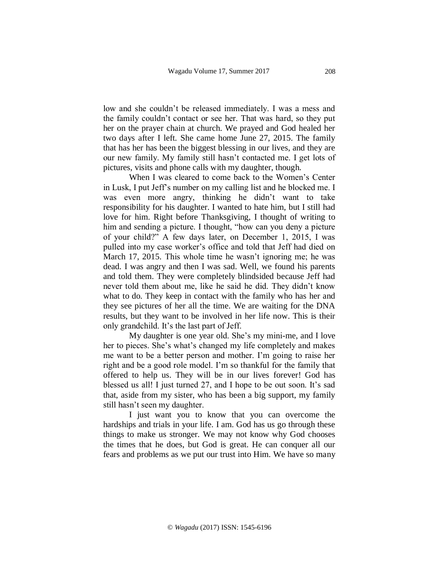low and she couldn't be released immediately. I was a mess and the family couldn't contact or see her. That was hard, so they put her on the prayer chain at church. We prayed and God healed her two days after I left. She came home June 27, 2015. The family that has her has been the biggest blessing in our lives, and they are our new family. My family still hasn't contacted me. I get lots of pictures, visits and phone calls with my daughter, though.

When I was cleared to come back to the Women's Center in Lusk, I put Jeff's number on my calling list and he blocked me. I was even more angry, thinking he didn't want to take responsibility for his daughter. I wanted to hate him, but I still had love for him. Right before Thanksgiving, I thought of writing to him and sending a picture. I thought, "how can you deny a picture of your child?" A few days later, on December 1, 2015, I was pulled into my case worker's office and told that Jeff had died on March 17, 2015. This whole time he wasn't ignoring me; he was dead. I was angry and then I was sad. Well, we found his parents and told them. They were completely blindsided because Jeff had never told them about me, like he said he did. They didn't know what to do. They keep in contact with the family who has her and they see pictures of her all the time. We are waiting for the DNA results, but they want to be involved in her life now. This is their only grandchild. It's the last part of Jeff.

My daughter is one year old. She's my mini-me, and I love her to pieces. She's what's changed my life completely and makes me want to be a better person and mother. I'm going to raise her right and be a good role model. I'm so thankful for the family that offered to help us. They will be in our lives forever! God has blessed us all! I just turned 27, and I hope to be out soon. It's sad that, aside from my sister, who has been a big support, my family still hasn't seen my daughter.

I just want you to know that you can overcome the hardships and trials in your life. I am. God has us go through these things to make us stronger. We may not know why God chooses the times that he does, but God is great. He can conquer all our fears and problems as we put our trust into Him. We have so many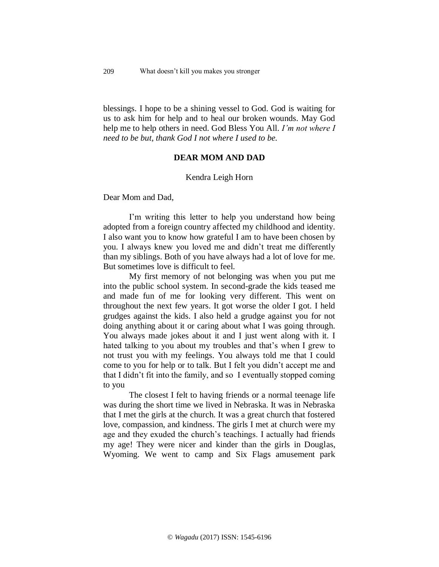blessings. I hope to be a shining vessel to God. God is waiting for us to ask him for help and to heal our broken wounds. May God help me to help others in need. God Bless You All. *I'm not where I need to be but, thank God I not where I used to be.*

## **DEAR MOM AND DAD**

#### Kendra Leigh Horn

Dear Mom and Dad,

I'm writing this letter to help you understand how being adopted from a foreign country affected my childhood and identity. I also want you to know how grateful I am to have been chosen by you. I always knew you loved me and didn't treat me differently than my siblings. Both of you have always had a lot of love for me. But sometimes love is difficult to feel.

My first memory of not belonging was when you put me into the public school system. In second-grade the kids teased me and made fun of me for looking very different. This went on throughout the next few years. It got worse the older I got. I held grudges against the kids. I also held a grudge against you for not doing anything about it or caring about what I was going through. You always made jokes about it and I just went along with it. I hated talking to you about my troubles and that's when I grew to not trust you with my feelings. You always told me that I could come to you for help or to talk. But I felt you didn't accept me and that I didn't fit into the family, and so I eventually stopped coming to you

The closest I felt to having friends or a normal teenage life was during the short time we lived in Nebraska. It was in Nebraska that I met the girls at the church. It was a great church that fostered love, compassion, and kindness. The girls I met at church were my age and they exuded the church's teachings. I actually had friends my age! They were nicer and kinder than the girls in Douglas, Wyoming. We went to camp and Six Flags amusement park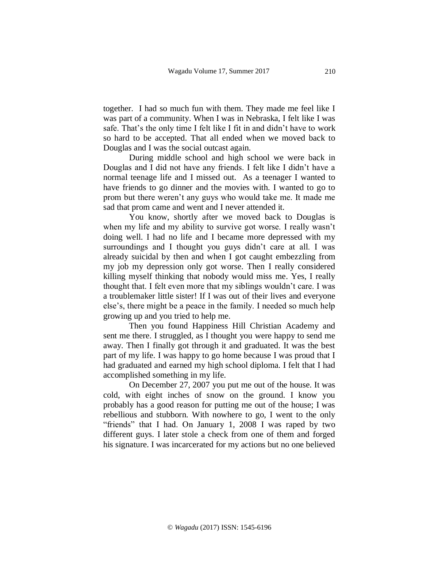together. I had so much fun with them. They made me feel like I was part of a community. When I was in Nebraska, I felt like I was safe. That's the only time I felt like I fit in and didn't have to work so hard to be accepted. That all ended when we moved back to Douglas and I was the social outcast again.

During middle school and high school we were back in Douglas and I did not have any friends. I felt like I didn't have a normal teenage life and I missed out. As a teenager I wanted to have friends to go dinner and the movies with. I wanted to go to prom but there weren't any guys who would take me. It made me sad that prom came and went and I never attended it.

You know, shortly after we moved back to Douglas is when my life and my ability to survive got worse. I really wasn't doing well. I had no life and I became more depressed with my surroundings and I thought you guys didn't care at all. I was already suicidal by then and when I got caught embezzling from my job my depression only got worse. Then I really considered killing myself thinking that nobody would miss me. Yes, I really thought that. I felt even more that my siblings wouldn't care. I was a troublemaker little sister! If I was out of their lives and everyone else's, there might be a peace in the family. I needed so much help growing up and you tried to help me.

Then you found Happiness Hill Christian Academy and sent me there. I struggled, as I thought you were happy to send me away. Then I finally got through it and graduated. It was the best part of my life. I was happy to go home because I was proud that I had graduated and earned my high school diploma. I felt that I had accomplished something in my life.

On December 27, 2007 you put me out of the house. It was cold, with eight inches of snow on the ground. I know you probably has a good reason for putting me out of the house; I was rebellious and stubborn. With nowhere to go, I went to the only "friends" that I had. On January 1, 2008 I was raped by two different guys. I later stole a check from one of them and forged his signature. I was incarcerated for my actions but no one believed